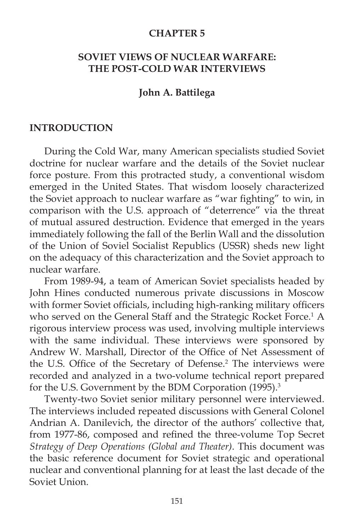#### **CHAPTER 5**

## **SOVIET VIEWS OF NUCLEAR WARFARE: THE POST-COLD WAR INTERVIEWS**

#### **John A. Battilega**

#### **INTRODUCTION**

During the Cold War, many American specialists studied Soviet doctrine for nuclear warfare and the details of the Soviet nuclear force posture. From this protracted study, a conventional wisdom emerged in the United States. That wisdom loosely characterized the Soviet approach to nuclear warfare as "war fighting" to win, in comparison with the U.S. approach of "deterrence" via the threat of mutual assured destruction. Evidence that emerged in the years immediately following the fall of the Berlin Wall and the dissolution of the Union of Soviel Socialist Republics (USSR) sheds new light on the adequacy of this characterization and the Soviet approach to nuclear warfare.

 From 1989-94, a team of American Soviet specialists headed by John Hines conducted numerous private discussions in Moscow with former Soviet officials, including high-ranking military officers who served on the General Staff and the Strategic Rocket Force.<sup>1</sup> A rigorous interview process was used, involving multiple interviews with the same individual. These interviews were sponsored by Andrew W. Marshall, Director of the Office of Net Assessment of the U.S. Office of the Secretary of Defense.<sup>2</sup> The interviews were recorded and analyzed in a two-volume technical report prepared for the U.S. Government by the BDM Corporation (1995).<sup>3</sup>

 Twenty-two Soviet senior military personnel were interviewed. The interviews included repeated discussions with General Colonel Andrian A. Danilevich, the director of the authors' collective that, from 1977-86, composed and refined the three-volume Top Secret *Strategy of Deep Operations (Global and Theater)*. This document was the basic reference document for Soviet strategic and operational nuclear and conventional planning for at least the last decade of the Soviet Union.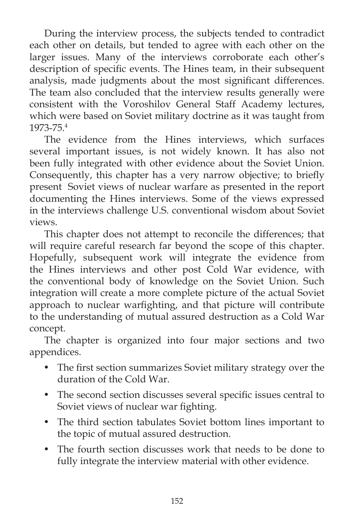During the interview process, the subjects tended to contradict each other on details, but tended to agree with each other on the larger issues. Many of the interviews corroborate each other's description of specific events. The Hines team, in their subsequent analysis, made judgments about the most significant differences. The team also concluded that the interview results generally were consistent with the Voroshilov General Staff Academy lectures, which were based on Soviet military doctrine as it was taught from 1973-75.4

 The evidence from the Hines interviews, which surfaces several important issues, is not widely known. It has also not been fully integrated with other evidence about the Soviet Union. Consequently, this chapter has a very narrow objective; to briefly present Soviet views of nuclear warfare as presented in the report documenting the Hines interviews. Some of the views expressed in the interviews challenge U.S. conventional wisdom about Soviet views.

 This chapter does not attempt to reconcile the differences; that will require careful research far beyond the scope of this chapter. Hopefully, subsequent work will integrate the evidence from the Hines interviews and other post Cold War evidence, with the conventional body of knowledge on the Soviet Union. Such integration will create a more complete picture of the actual Soviet approach to nuclear warfighting, and that picture will contribute to the understanding of mutual assured destruction as a Cold War concept.

 The chapter is organized into four major sections and two appendices.

- The first section summarizes Soviet military strategy over the duration of the Cold War.
- The second section discusses several specific issues central to Soviet views of nuclear war fighting.
- The third section tabulates Soviet bottom lines important to the topic of mutual assured destruction.
- The fourth section discusses work that needs to be done to fully integrate the interview material with other evidence.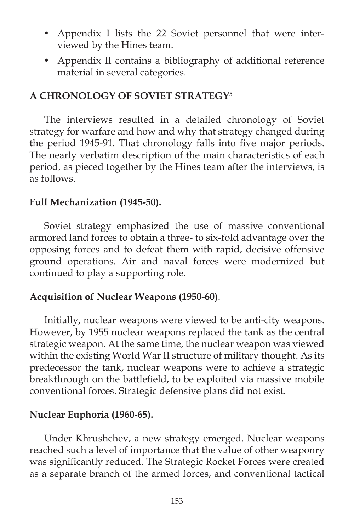- Appendix I lists the 22 Soviet personnel that were interviewed by the Hines team.
- Appendix II contains a bibliography of additional reference material in several categories.

# **A CHRONOLOGY OF SOVIET STRATEGY**<sup>5</sup>

 The interviews resulted in a detailed chronology of Soviet strategy for warfare and how and why that strategy changed during the period 1945-91. That chronology falls into five major periods. The nearly verbatim description of the main characteristics of each period, as pieced together by the Hines team after the interviews, is as follows.

## **Full Mechanization (1945-50).**

 Soviet strategy emphasized the use of massive conventional armored land forces to obtain a three- to six-fold advantage over the opposing forces and to defeat them with rapid, decisive offensive ground operations. Air and naval forces were modernized but continued to play a supporting role.

## **Acquisition of Nuclear Weapons (1950-60)**.

 Initially, nuclear weapons were viewed to be anti-city weapons. However, by 1955 nuclear weapons replaced the tank as the central strategic weapon. At the same time, the nuclear weapon was viewed within the existing World War II structure of military thought. As its predecessor the tank, nuclear weapons were to achieve a strategic breakthrough on the battlefield, to be exploited via massive mobile conventional forces. Strategic defensive plans did not exist.

## **Nuclear Euphoria (1960-65).**

 Under Khrushchev, a new strategy emerged. Nuclear weapons reached such a level of importance that the value of other weaponry was significantly reduced. The Strategic Rocket Forces were created as a separate branch of the armed forces, and conventional tactical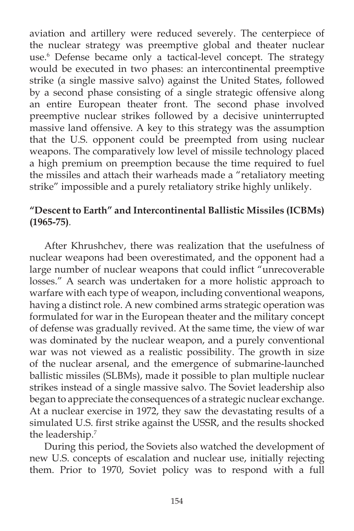aviation and artillery were reduced severely. The centerpiece of the nuclear strategy was preemptive global and theater nuclear use.6 Defense became only a tactical-level concept. The strategy would be executed in two phases: an intercontinental preemptive strike (a single massive salvo) against the United States, followed by a second phase consisting of a single strategic offensive along an entire European theater front. The second phase involved preemptive nuclear strikes followed by a decisive uninterrupted massive land offensive. A key to this strategy was the assumption that the U.S. opponent could be preempted from using nuclear weapons. The comparatively low level of missile technology placed a high premium on preemption because the time required to fuel the missiles and attach their warheads made a "retaliatory meeting strike" impossible and a purely retaliatory strike highly unlikely.

# **"Descent to Earth" and Intercontinental Ballistic Missiles (ICBMs) (1965-75)***.*

 After Khrushchev, there was realization that the usefulness of nuclear weapons had been overestimated, and the opponent had a large number of nuclear weapons that could inflict "unrecoverable losses." A search was undertaken for a more holistic approach to warfare with each type of weapon, including conventional weapons, having a distinct role. A new combined arms strategic operation was formulated for war in the European theater and the military concept of defense was gradually revived. At the same time, the view of war was dominated by the nuclear weapon, and a purely conventional war was not viewed as a realistic possibility. The growth in size of the nuclear arsenal, and the emergence of submarine-launched ballistic missiles (SLBMs), made it possible to plan multiple nuclear strikes instead of a single massive salvo. The Soviet leadership also began to appreciate the consequences of a strategic nuclear exchange. At a nuclear exercise in 1972, they saw the devastating results of a simulated U.S. first strike against the USSR, and the results shocked the leadership.7

 During this period, the Soviets also watched the development of new U.S. concepts of escalation and nuclear use, initially rejecting them. Prior to 1970, Soviet policy was to respond with a full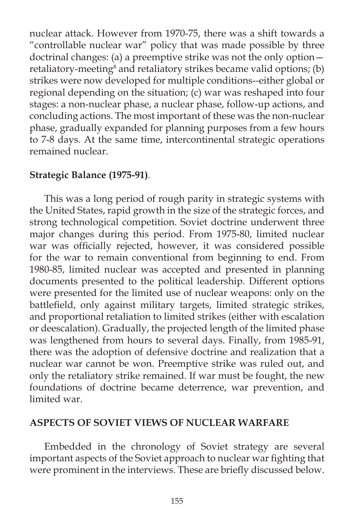nuclear attack. However from 1970-75, there was a shift towards a "controllable nuclear war" policy that was made possible by three doctrinal changes: (a) a preemptive strike was not the only option retaliatory-meeting<sup>8</sup> and retaliatory strikes became valid options; (b) strikes were now developed for multiple conditions--either global or regional depending on the situation; (c) war was reshaped into four stages: a non-nuclear phase, a nuclear phase, follow-up actions, and concluding actions. The most important of these was the non-nuclear phase, gradually expanded for planning purposes from a few hours to 7-8 days. At the same time, intercontinental strategic operations remained nuclear.

# **Strategic Balance (1975-91)***.*

 This was a long period of rough parity in strategic systems with the United States, rapid growth in the size of the strategic forces, and strong technological competition. Soviet doctrine underwent three major changes during this period. From 1975-80, limited nuclear war was officially rejected, however, it was considered possible for the war to remain conventional from beginning to end. From 1980-85, limited nuclear was accepted and presented in planning documents presented to the political leadership. Different options were presented for the limited use of nuclear weapons: only on the battlefield, only against military targets, limited strategic strikes, and proportional retaliation to limited strikes (either with escalation or deescalation). Gradually, the projected length of the limited phase was lengthened from hours to several days. Finally, from 1985-91, there was the adoption of defensive doctrine and realization that a nuclear war cannot be won. Preemptive strike was ruled out, and only the retaliatory strike remained. If war must be fought, the new foundations of doctrine became deterrence, war prevention, and limited war.

#### **ASPECTS OF SOVIET VIEWS OF NUCLEAR WARFARE**

Embedded in the chronology of Soviet strategy are several important aspects of the Soviet approach to nuclear war fighting that were prominent in the interviews. These are briefly discussed below.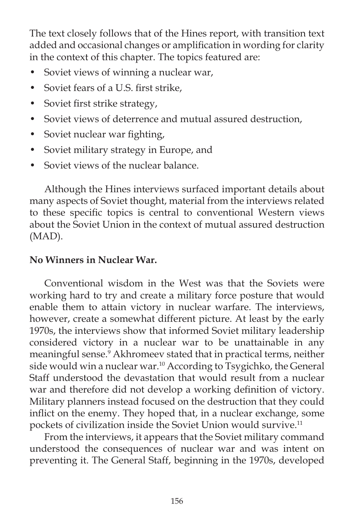The text closely follows that of the Hines report, with transition text added and occasional changes or amplification in wording for clarity in the context of this chapter. The topics featured are:

- Soviet views of winning a nuclear war,
- Soviet fears of a U.S. first strike,
- Soviet first strike strategy,
- Soviet views of deterrence and mutual assured destruction,
- Soviet nuclear war fighting,
- Soviet military strategy in Europe, and
- Soviet views of the nuclear balance.

 Although the Hines interviews surfaced important details about many aspects of Soviet thought, material from the interviews related to these specific topics is central to conventional Western views about the Soviet Union in the context of mutual assured destruction (MAD).

# **No Winners in Nuclear War.**

Conventional wisdom in the West was that the Soviets were working hard to try and create a military force posture that would enable them to attain victory in nuclear warfare. The interviews, however, create a somewhat different picture. At least by the early 1970s, the interviews show that informed Soviet military leadership considered victory in a nuclear war to be unattainable in any meaningful sense.<sup>9</sup> Akhromeev stated that in practical terms, neither side would win a nuclear war.<sup>10</sup> According to Tsygichko, the General Staff understood the devastation that would result from a nuclear war and therefore did not develop a working definition of victory. Military planners instead focused on the destruction that they could inflict on the enemy. They hoped that, in a nuclear exchange, some pockets of civilization inside the Soviet Union would survive.<sup>11</sup>

 From the interviews, it appears that the Soviet military command understood the consequences of nuclear war and was intent on preventing it. The General Staff, beginning in the 1970s, developed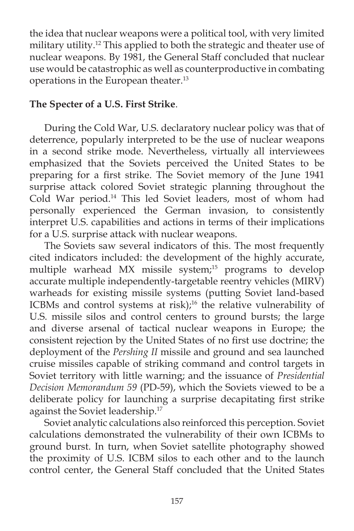the idea that nuclear weapons were a political tool, with very limited military utility.<sup>12</sup> This applied to both the strategic and theater use of nuclear weapons. By 1981, the General Staff concluded that nuclear use would be catastrophic as well as counterproductive in combating operations in the European theater.13

# **The Specter of a U.S. First Strike**.

During the Cold War, U.S. declaratory nuclear policy was that of deterrence, popularly interpreted to be the use of nuclear weapons in a second strike mode. Nevertheless, virtually all interviewees emphasized that the Soviets perceived the United States to be preparing for a first strike. The Soviet memory of the June 1941 surprise attack colored Soviet strategic planning throughout the Cold War period.14 This led Soviet leaders, most of whom had personally experienced the German invasion, to consistently interpret U.S. capabilities and actions in terms of their implications for a U.S. surprise attack with nuclear weapons.

 The Soviets saw several indicators of this. The most frequently cited indicators included: the development of the highly accurate, multiple warhead MX missile system;<sup>15</sup> programs to develop accurate multiple independently-targetable reentry vehicles (MIRV) warheads for existing missile systems (putting Soviet land-based ICBMs and control systems at risk);<sup>16</sup> the relative vulnerability of U.S. missile silos and control centers to ground bursts; the large and diverse arsenal of tactical nuclear weapons in Europe; the consistent rejection by the United States of no first use doctrine; the deployment of the *Pershing II* missile and ground and sea launched cruise missiles capable of striking command and control targets in Soviet territory with little warning; and the issuance of *Presidential Decision Memorandum 59* (PD-59), which the Soviets viewed to be a deliberate policy for launching a surprise decapitating first strike against the Soviet leadership.<sup>17</sup>

 Soviet analytic calculations also reinforced this perception. Soviet calculations demonstrated the vulnerability of their own ICBMs to ground burst. In turn, when Soviet satellite photography showed the proximity of U.S. ICBM silos to each other and to the launch control center, the General Staff concluded that the United States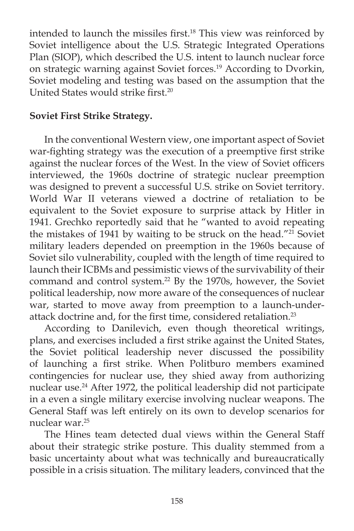intended to launch the missiles first.<sup>18</sup> This view was reinforced by Soviet intelligence about the U.S. Strategic Integrated Operations Plan (SIOP), which described the U.S. intent to launch nuclear force on strategic warning against Soviet forces.19 According to Dvorkin, Soviet modeling and testing was based on the assumption that the United States would strike first.<sup>20</sup>

## **Soviet First Strike Strategy.**

In the conventional Western view, one important aspect of Soviet war-fighting strategy was the execution of a preemptive first strike against the nuclear forces of the West. In the view of Soviet officers interviewed, the 1960s doctrine of strategic nuclear preemption was designed to prevent a successful U.S. strike on Soviet territory. World War II veterans viewed a doctrine of retaliation to be equivalent to the Soviet exposure to surprise attack by Hitler in 1941. Grechko reportedly said that he "wanted to avoid repeating the mistakes of 1941 by waiting to be struck on the head."<sup>21</sup> Soviet military leaders depended on preemption in the 1960s because of Soviet silo vulnerability, coupled with the length of time required to launch their ICBMs and pessimistic views of the survivability of their command and control system.<sup>22</sup> By the 1970s, however, the Soviet political leadership, now more aware of the consequences of nuclear war, started to move away from preemption to a launch-underattack doctrine and, for the first time, considered retaliation.<sup>23</sup>

 According to Danilevich, even though theoretical writings, plans, and exercises included a first strike against the United States, the Soviet political leadership never discussed the possibility of launching a first strike. When Politburo members examined contingencies for nuclear use, they shied away from authorizing nuclear use.<sup>24</sup> After 1972, the political leadership did not participate in a even a single military exercise involving nuclear weapons. The General Staff was left entirely on its own to develop scenarios for nuclear war.25

 The Hines team detected dual views within the General Staff about their strategic strike posture. This duality stemmed from a basic uncertainty about what was technically and bureaucratically possible in a crisis situation. The military leaders, convinced that the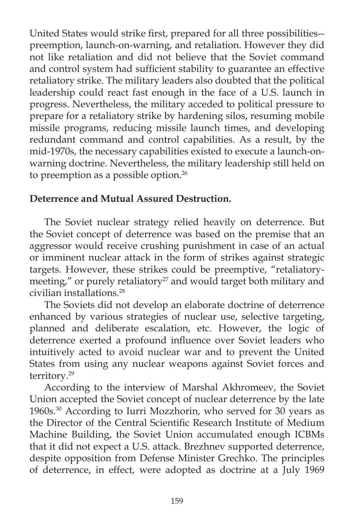United States would strike first, prepared for all three possibilities-preemption, launch-on-warning, and retaliation. However they did not like retaliation and did not believe that the Soviet command and control system had sufficient stability to guarantee an effective retaliatory strike. The military leaders also doubted that the political leadership could react fast enough in the face of a U.S. launch in progress. Nevertheless, the military acceded to political pressure to prepare for a retaliatory strike by hardening silos, resuming mobile missile programs, reducing missile launch times, and developing redundant command and control capabilities. As a result, by the mid-1970s, the necessary capabilities existed to execute a launch-onwarning doctrine. Nevertheless, the military leadership still held on to preemption as a possible option.<sup>26</sup>

# **Deterrence and Mutual Assured Destruction.**

The Soviet nuclear strategy relied heavily on deterrence. But the Soviet concept of deterrence was based on the premise that an aggressor would receive crushing punishment in case of an actual or imminent nuclear attack in the form of strikes against strategic targets. However, these strikes could be preemptive, "retaliatorymeeting," or purely retaliatory<sup>27</sup> and would target both military and civilian installations.28

 The Soviets did not develop an elaborate doctrine of deterrence enhanced by various strategies of nuclear use, selective targeting, planned and deliberate escalation, etc. However, the logic of deterrence exerted a profound influence over Soviet leaders who intuitively acted to avoid nuclear war and to prevent the United States from using any nuclear weapons against Soviet forces and territory.29

 According to the interview of Marshal Akhromeev, the Soviet Union accepted the Soviet concept of nuclear deterrence by the late 1960s.30 According to Iurri Mozzhorin, who served for 30 years as the Director of the Central Scientific Research Institute of Medium Machine Building, the Soviet Union accumulated enough ICBMs that it did not expect a U.S. attack. Brezhnev supported deterrence, despite opposition from Defense Minister Grechko. The principles of deterrence, in effect, were adopted as doctrine at a July 1969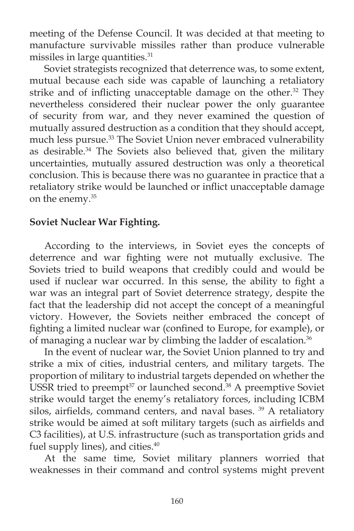meeting of the Defense Council. It was decided at that meeting to manufacture survivable missiles rather than produce vulnerable missiles in large quantities.<sup>31</sup>

 Soviet strategists recognized that deterrence was, to some extent, mutual because each side was capable of launching a retaliatory strike and of inflicting unacceptable damage on the other.<sup>32</sup> They nevertheless considered their nuclear power the only guarantee of security from war, and they never examined the question of mutually assured destruction as a condition that they should accept, much less pursue.33 The Soviet Union never embraced vulnerability as desirable.<sup>34</sup> The Soviets also believed that, given the military uncertainties, mutually assured destruction was only a theoretical conclusion. This is because there was no guarantee in practice that a retaliatory strike would be launched or inflict unacceptable damage on the enemy.<sup>35</sup>

## **Soviet Nuclear War Fighting.**

According to the interviews, in Soviet eyes the concepts of deterrence and war fighting were not mutually exclusive. The Soviets tried to build weapons that credibly could and would be used if nuclear war occurred. In this sense, the ability to fight a war was an integral part of Soviet deterrence strategy, despite the fact that the leadership did not accept the concept of a meaningful victory. However, the Soviets neither embraced the concept of fighting a limited nuclear war (confined to Europe, for example), or of managing a nuclear war by climbing the ladder of escalation.<sup>36</sup>

 In the event of nuclear war, the Soviet Union planned to try and strike a mix of cities, industrial centers, and military targets. The proportion of military to industrial targets depended on whether the USSR tried to preempt $37$  or launched second.<sup>38</sup> A preemptive Soviet strike would target the enemy's retaliatory forces, including ICBM silos, airfields, command centers, and naval bases.<sup>39</sup> A retaliatory strike would be aimed at soft military targets (such as airfields and C3 facilities), at U.S. infrastructure (such as transportation grids and fuel supply lines), and cities.<sup>40</sup>

 At the same time, Soviet military planners worried that weaknesses in their command and control systems might prevent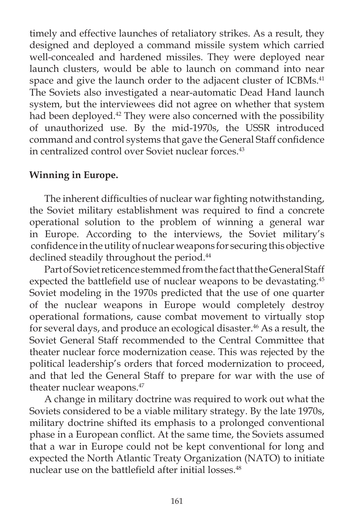timely and effective launches of retaliatory strikes. As a result, they designed and deployed a command missile system which carried well-concealed and hardened missiles. They were deployed near launch clusters, would be able to launch on command into near space and give the launch order to the adjacent cluster of ICBMs.<sup>41</sup> The Soviets also investigated a near-automatic Dead Hand launch system, but the interviewees did not agree on whether that system had been deployed.<sup>42</sup> They were also concerned with the possibility of unauthorized use. By the mid-1970s, the USSR introduced command and control systems that gave the General Staff confidence in centralized control over Soviet nuclear forces.<sup>43</sup>

# **Winning in Europe.**

The inherent difficulties of nuclear war fighting notwithstanding, the Soviet military establishment was required to find a concrete operational solution to the problem of winning a general war in Europe. According to the interviews, the Soviet military's confidence in the utility of nuclear weapons for securing this objective declined steadily throughout the period.<sup>44</sup>

 Part of Soviet reticence stemmed from the fact that the General Staff expected the battlefield use of nuclear weapons to be devastating. $45$ Soviet modeling in the 1970s predicted that the use of one quarter of the nuclear weapons in Europe would completely destroy operational formations, cause combat movement to virtually stop for several days, and produce an ecological disaster.<sup>46</sup> As a result, the Soviet General Staff recommended to the Central Committee that theater nuclear force modernization cease. This was rejected by the political leadership's orders that forced modernization to proceed, and that led the General Staff to prepare for war with the use of theater nuclear weapons.<sup>47</sup>

 A change in military doctrine was required to work out what the Soviets considered to be a viable military strategy. By the late 1970s, military doctrine shifted its emphasis to a prolonged conventional phase in a European conflict. At the same time, the Soviets assumed that a war in Europe could not be kept conventional for long and expected the North Atlantic Treaty Organization (NATO) to initiate nuclear use on the battlefield after initial losses.<sup>48</sup>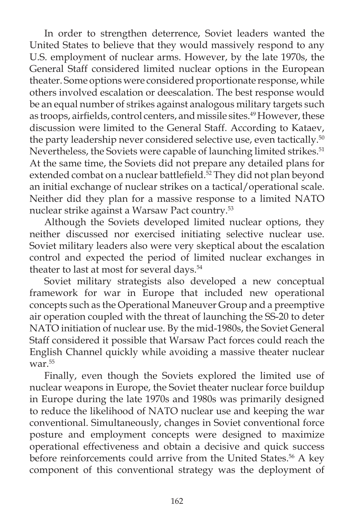In order to strengthen deterrence, Soviet leaders wanted the United States to believe that they would massively respond to any U.S. employment of nuclear arms. However, by the late 1970s, the General Staff considered limited nuclear options in the European theater. Some options were considered proportionate response, while others involved escalation or deescalation. The best response would be an equal number of strikes against analogous military targets such as troops, airfields, control centers, and missile sites.<sup>49</sup> However, these discussion were limited to the General Staff. According to Kataev, the party leadership never considered selective use, even tactically.<sup>50</sup> Nevertheless, the Soviets were capable of launching limited strikes.<sup>51</sup> At the same time, the Soviets did not prepare any detailed plans for extended combat on a nuclear battlefield.<sup>52</sup> They did not plan beyond an initial exchange of nuclear strikes on a tactical/operational scale. Neither did they plan for a massive response to a limited NATO nuclear strike against a Warsaw Pact country.53

 Although the Soviets developed limited nuclear options, they neither discussed nor exercised initiating selective nuclear use. Soviet military leaders also were very skeptical about the escalation control and expected the period of limited nuclear exchanges in theater to last at most for several days.<sup>54</sup>

 Soviet military strategists also developed a new conceptual framework for war in Europe that included new operational concepts such as the Operational Maneuver Group and a preemptive air operation coupled with the threat of launching the SS-20 to deter NATO initiation of nuclear use. By the mid-1980s, the Soviet General Staff considered it possible that Warsaw Pact forces could reach the English Channel quickly while avoiding a massive theater nuclear war.55

 Finally, even though the Soviets explored the limited use of nuclear weapons in Europe, the Soviet theater nuclear force buildup in Europe during the late 1970s and 1980s was primarily designed to reduce the likelihood of NATO nuclear use and keeping the war conventional. Simultaneously, changes in Soviet conventional force posture and employment concepts were designed to maximize operational effectiveness and obtain a decisive and quick success before reinforcements could arrive from the United States.<sup>56</sup> A key component of this conventional strategy was the deployment of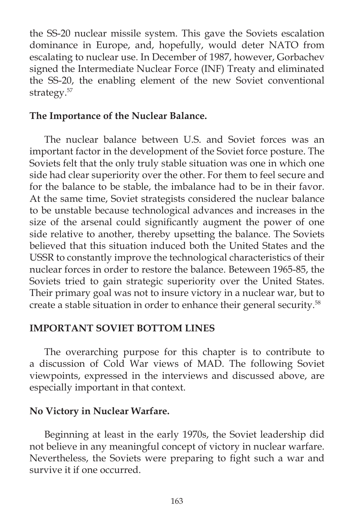the SS-20 nuclear missile system. This gave the Soviets escalation dominance in Europe, and, hopefully, would deter NATO from escalating to nuclear use. In December of 1987, however, Gorbachev signed the Intermediate Nuclear Force (INF) Treaty and eliminated the SS-20, the enabling element of the new Soviet conventional strategy.<sup>57</sup>

## **The Importance of the Nuclear Balance.**

The nuclear balance between U.S. and Soviet forces was an important factor in the development of the Soviet force posture. The Soviets felt that the only truly stable situation was one in which one side had clear superiority over the other. For them to feel secure and for the balance to be stable, the imbalance had to be in their favor. At the same time, Soviet strategists considered the nuclear balance to be unstable because technological advances and increases in the size of the arsenal could significantly augment the power of one side relative to another, thereby upsetting the balance. The Soviets believed that this situation induced both the United States and the USSR to constantly improve the technological characteristics of their nuclear forces in order to restore the balance. Beteween 1965-85, the Soviets tried to gain strategic superiority over the United States. Their primary goal was not to insure victory in a nuclear war, but to create a stable situation in order to enhance their general security.58

## **IMPORTANT SOVIET BOTTOM LINES**

The overarching purpose for this chapter is to contribute to a discussion of Cold War views of MAD. The following Soviet viewpoints, expressed in the interviews and discussed above, are especially important in that context.

## **No Victory in Nuclear Warfare.**

 Beginning at least in the early 1970s, the Soviet leadership did not believe in any meaningful concept of victory in nuclear warfare. Nevertheless, the Soviets were preparing to fight such a war and survive it if one occurred.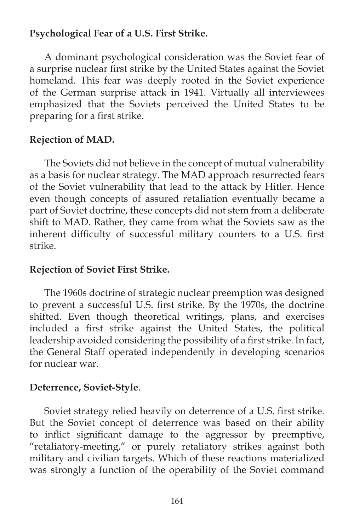# **Psychological Fear of a U.S. First Strike.**

A dominant psychological consideration was the Soviet fear of a surprise nuclear first strike by the United States against the Soviet homeland. This fear was deeply rooted in the Soviet experience of the German surprise attack in 1941. Virtually all interviewees emphasized that the Soviets perceived the United States to be preparing for a first strike.

# **Rejection of MAD.**

 The Soviets did not believe in the concept of mutual vulnerability as a basis for nuclear strategy. The MAD approach resurrected fears of the Soviet vulnerability that lead to the attack by Hitler. Hence even though concepts of assured retaliation eventually became a part of Soviet doctrine, these concepts did not stem from a deliberate shift to MAD. Rather, they came from what the Soviets saw as the inherent difficulty of successful military counters to a U.S. first strike.

## **Rejection of Soviet First Strike.**

The 1960s doctrine of strategic nuclear preemption was designed to prevent a successful U.S. first strike. By the 1970s, the doctrine shifted. Even though theoretical writings, plans, and exercises included a first strike against the United States, the political leadership avoided considering the possibility of a first strike. In fact, the General Staff operated independently in developing scenarios for nuclear war.

## **Deterrence, Soviet-Style**.

Soviet strategy relied heavily on deterrence of a U.S. first strike. But the Soviet concept of deterrence was based on their ability to inflict significant damage to the aggressor by preemptive, "retaliatory-meeting," or purely retaliatory strikes against both military and civilian targets. Which of these reactions materialized was strongly a function of the operability of the Soviet command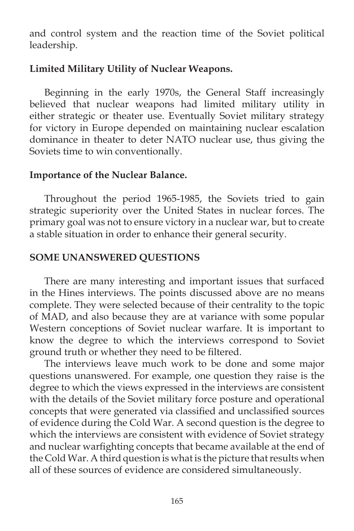and control system and the reaction time of the Soviet political leadership.

### **Limited Military Utility of Nuclear Weapons.**

 Beginning in the early 1970s, the General Staff increasingly believed that nuclear weapons had limited military utility in either strategic or theater use. Eventually Soviet military strategy for victory in Europe depended on maintaining nuclear escalation dominance in theater to deter NATO nuclear use, thus giving the Soviets time to win conventionally.

#### **Importance of the Nuclear Balance.**

 Throughout the period 1965-1985, the Soviets tried to gain strategic superiority over the United States in nuclear forces. The primary goal was not to ensure victory in a nuclear war, but to create a stable situation in order to enhance their general security.

## **SOME UNANSWERED QUESTIONS**

There are many interesting and important issues that surfaced in the Hines interviews. The points discussed above are no means complete. They were selected because of their centrality to the topic of MAD, and also because they are at variance with some popular Western conceptions of Soviet nuclear warfare. It is important to know the degree to which the interviews correspond to Soviet ground truth or whether they need to be filtered.

 The interviews leave much work to be done and some major questions unanswered. For example, one question they raise is the degree to which the views expressed in the interviews are consistent with the details of the Soviet military force posture and operational concepts that were generated via classified and unclassified sources of evidence during the Cold War. A second question is the degree to which the interviews are consistent with evidence of Soviet strategy and nuclear warfighting concepts that became available at the end of the Cold War. A third question is what is the picture that results when all of these sources of evidence are considered simultaneously.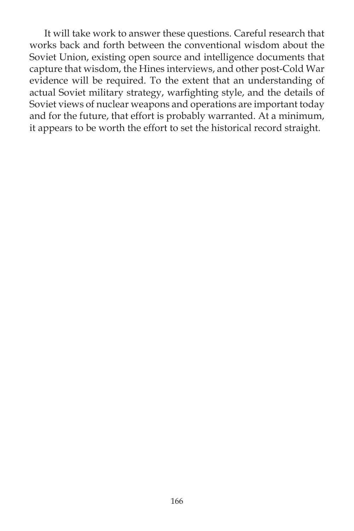It will take work to answer these questions. Careful research that works back and forth between the conventional wisdom about the Soviet Union, existing open source and intelligence documents that capture that wisdom, the Hines interviews, and other post-Cold War evidence will be required. To the extent that an understanding of actual Soviet military strategy, warfighting style, and the details of Soviet views of nuclear weapons and operations are important today and for the future, that effort is probably warranted. At a minimum, it appears to be worth the effort to set the historical record straight.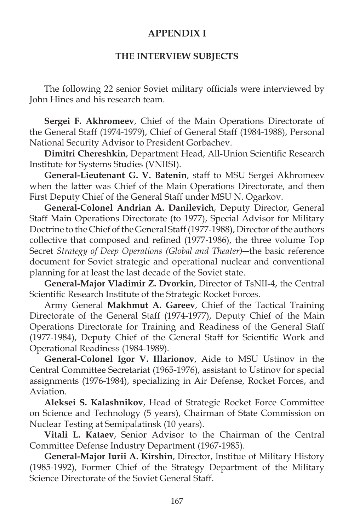## **APPENDIX I**

#### **THE INTERVIEW SUBJECTS**

The following 22 senior Soviet military officials were interviewed by John Hines and his research team.

 **Sergei F. Akhromeev**, Chief of the Main Operations Directorate of the General Staff (1974-1979), Chief of General Staff (1984-1988), Personal National Security Advisor to President Gorbachev.

Dimitri Chereshkin, Department Head, All-Union Scientific Research Institute for Systems Studies (VNIISI).

**General-Lieutenant G. V. Batenin**, staff to MSU Sergei Akhromeev when the latter was Chief of the Main Operations Directorate, and then First Deputy Chief of the General Staff under MSU N. Ogarkov.

**General-Colonel Andrian A. Danilevich**, Deputy Director, General Staff Main Operations Directorate (to 1977), Special Advisor for Military Doctrine to the Chief of the General Staff (1977-1988), Director of the authors collective that composed and refined (1977-1986), the three volume Top Secret *Strategy of Deep Operations (Global and Theater)*―the basic reference document for Soviet strategic and operational nuclear and conventional planning for at least the last decade of the Soviet state.

**General-Major Vladimir Z. Dvorkin**, Director of TsNII-4, the Central Scientific Research Institute of the Strategic Rocket Forces.

 Army General **Makhmut A. Gareev**, Chief of the Tactical Training Directorate of the General Staff (1974-1977), Deputy Chief of the Main Operations Directorate for Training and Readiness of the General Staff (1977-1984), Deputy Chief of the General Staff for Scientific Work and Operational Readiness (1984-1989).

**General-Colonel Igor V. Illarionov**, Aide to MSU Ustinov in the Central Committee Secretariat (1965-1976), assistant to Ustinov for special assignments (1976-1984), specializing in Air Defense, Rocket Forces, and Aviation.

**Aleksei S. Kalashnikov**, Head of Strategic Rocket Force Committee on Science and Technology (5 years), Chairman of State Commission on Nuclear Testing at Semipalatinsk (10 years).

**Vitali L. Kataev**, Senior Advisor to the Chairman of the Central Committee Defense Industry Department (1967-1985).

**General-Major Iurii A. Kirshin**, Director, Institue of Military History (1985-1992), Former Chief of the Strategy Department of the Military Science Directorate of the Soviet General Staff.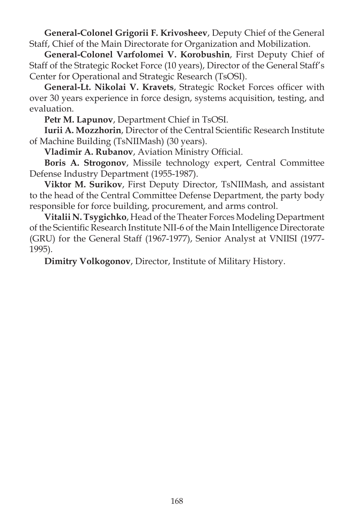**General-Colonel Grigorii F. Krivosheev**, Deputy Chief of the General Staff, Chief of the Main Directorate for Organization and Mobilization.

**General-Colonel Varfolomei V. Korobushin**, First Deputy Chief of Staff of the Strategic Rocket Force (10 years), Director of the General Staff's Center for Operational and Strategic Research (TsOSI).

General-Lt. Nikolai V. Kravets, Strategic Rocket Forces officer with over 30 years experience in force design, systems acquisition, testing, and evaluation.

**Petr M. Lapunov**, Department Chief in TsOSI.

**Iurii A. Mozzhorin**, Director of the Central Scientific Research Institute of Machine Building (TsNIIMash) (30 years).

Vladimir A. Rubanov, Aviation Ministry Official.

**Boris A. Strogonov**, Missile technology expert, Central Committee Defense Industry Department (1955-1987).

**Viktor M. Surikov**, First Deputy Director, TsNIIMash, and assistant to the head of the Central Committee Defense Department, the party body responsible for force building, procurement, and arms control.

**Vitalii N. Tsygichko**, Head of the Theater Forces Modeling Department of the Scientific Research Institute NII-6 of the Main Intelligence Directorate (GRU) for the General Staff (1967-1977), Senior Analyst at VNIISI (1977- 1995).

**Dimitry Volkogonov**, Director, Institute of Military History.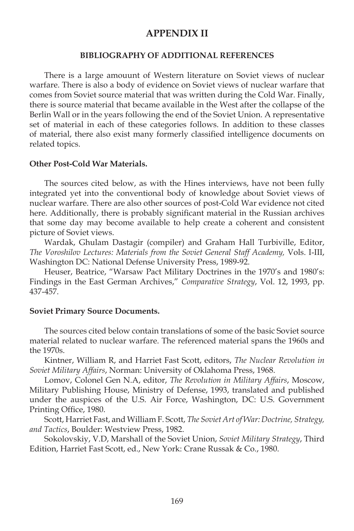#### **APPENDIX II**

#### **BIBLIOGRAPHY OF ADDITIONAL REFERENCES**

 There is a large amouunt of Western literature on Soviet views of nuclear warfare. There is also a body of evidence on Soviet views of nuclear warfare that comes from Soviet source material that was written during the Cold War. Finally, there is source material that became available in the West after the collapse of the Berlin Wall or in the years following the end of the Soviet Union. A representative set of material in each of these categories follows. In addition to these classes of material, there also exist many formerly classified intelligence documents on related topics.

#### **Other Post-Cold War Materials.**

 The sources cited below, as with the Hines interviews, have not been fully integrated yet into the conventional body of knowledge about Soviet views of nuclear warfare. There are also other sources of post-Cold War evidence not cited here. Additionally, there is probably significant material in the Russian archives that some day may become available to help create a coherent and consistent picture of Soviet views.

 Wardak, Ghulam Dastagir (compiler) and Graham Hall Turbiville, Editor, *The Voroshilov Lectures: Materials from the Soviet General Staff Academy,* Vols. I-III, Washington DC: National Defense University Press, 1989-92.

 Heuser, Beatrice, "Warsaw Pact Military Doctrines in the 1970's and 1980's: Findings in the East German Archives," *Comparative Strategy*, Vol. 12, 1993, pp. 437-457.

#### **Soviet Primary Source Documents.**

 The sources cited below contain translations of some of the basic Soviet source material related to nuclear warfare. The referenced material spans the 1960s and the 1970s.

 Kintner, William R, and Harriet Fast Scott, editors, *The Nuclear Revolution in Soviet Military Affairs*, Norman: University of Oklahoma Press, 1968.

 Lomov, Colonel Gen N.A, editor, *The Revolution in Military Affairs*, Moscow, Military Publishing House, Ministry of Defense, 1993, translated and published under the auspices of the U.S. Air Force, Washington, DC: U.S. Government Printing Office, 1980.

 Scott, Harriet Fast, and William F. Scott, *The Soviet Art of War: Doctrine, Strategy, and Tactics*, Boulder: Westview Press, 1982.

 Sokolovskiy, V.D, Marshall of the Soviet Union, *Soviet Military Strategy*, Third Edition, Harriet Fast Scott, ed., New York: Crane Russak & Co., 1980.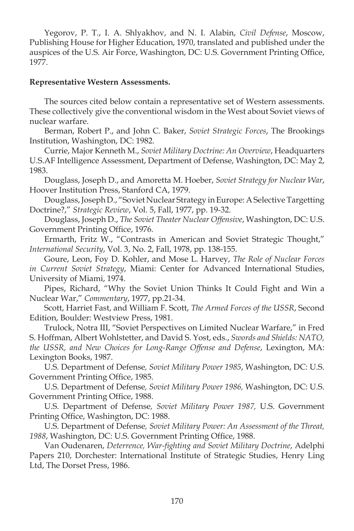Yegorov, P. T., I. A. Shlyakhov, and N. I. Alabin, *Civil Defense*, Moscow, Publishing House for Higher Education, 1970, translated and published under the auspices of the U.S. Air Force, Washington, DC: U.S. Government Printing Office, 1977.

#### **Representative Western Assessments.**

 The sources cited below contain a representative set of Western assessments. These collectively give the conventional wisdom in the West about Soviet views of nuclear warfare.

 Berman, Robert P., and John C. Baker, *Soviet Strategic Forces*, The Brookings Institution, Washington, DC: 1982.

 Currie, Major Kenneth M., *Soviet Military Doctrine: An Overview*, Headquarters U.S.AF Intelligence Assessment, Department of Defense, Washington, DC: May 2, 1983.

 Douglass, Joseph D., and Amoretta M. Hoeber, *Soviet Strategy for Nuclear War*, Hoover Institution Press, Stanford CA, 1979.

 Douglass, Joseph D., "Soviet Nuclear Strategy in Europe: A Selective Targetting Doctrine?," *Strategic Review*, Vol. 5, Fall, 1977, pp. 19-32.

 Douglass, Joseph D., *The Soviet Theater Nuclear Offensive*, Washington, DC: U.S. Government Printing Office, 1976.

 Ermarth, Fritz W., "Contrasts in American and Soviet Strategic Thought," *International Security*, Vol. 3, No. 2, Fall, 1978, pp. 138-155.

 Goure, Leon, Foy D. Kohler, and Mose L. Harvey, *The Role of Nuclear Forces in Current Soviet Strategy*, Miami: Center for Advanced International Studies, University of Miami, 1974.

 Pipes, Richard, "Why the Soviet Union Thinks It Could Fight and Win a Nuclear War," *Commentary*, 1977, pp.21-34.

 Scott, Harriet Fast, and William F. Scott, *The Armed Forces of the USSR*, Second Edition, Boulder: Westview Press, 1981.

 Trulock, Notra III, "Soviet Perspectives on Limited Nuclear Warfare," in Fred S. Hoffman, Albert Wohlstetter, and David S. Yost, eds., *Swords and Shields: NATO, the USSR, and New Choices for Long-Range Offense and Defense*, Lexington, MA: Lexington Books, 1987.

 U.S. Department of Defense*, Soviet Military Power 1985*, Washington, DC: U.S. Government Printing Office, 1985.

 U.S. Department of Defense*, Soviet Military Power 1986,* Washington, DC: U.S. Government Printing Office, 1988.

 U.S. Department of Defense*, Soviet Military Power 1987,* U.S. Government Printing Office, Washington, DC: 1988.

 U.S. Department of Defense*, Soviet Military Power: An Assessment of the Threat,*  1988, Washington, DC: U.S. Government Printing Office, 1988.

Van Oudenaren, *Deterrence, War-fighting and Soviet Military Doctrine*, Adelphi Papers 210, Dorchester: International Institute of Strategic Studies, Henry Ling Ltd, The Dorset Press, 1986.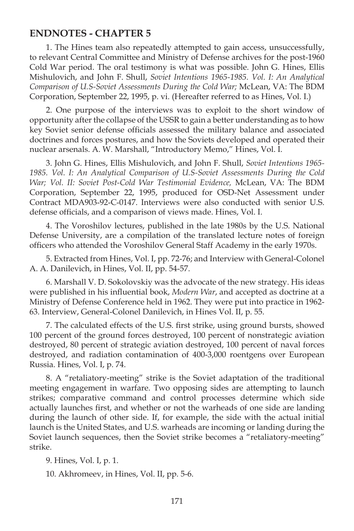#### **ENDNOTES - CHAPTER 5**

1. The Hines team also repeatedly attempted to gain access, unsuccessfully, to relevant Central Committee and Ministry of Defense archives for the post-1960 Cold War period. The oral testimony is what was possible. John G. Hines, Ellis Mishulovich, and John F. Shull, *Soviet Intentions 1965-1985. Vol. I: An Analytical Comparison of U.S-Soviet Assessments During the Cold War;* McLean, VA: The BDM Corporation, September 22, 1995, p. vi. (Hereafter referred to as Hines, Vol. I.)

2. One purpose of the interviews was to exploit to the short window of opportunity after the collapse of the USSR to gain a better understanding as to how key Soviet senior defense officials assessed the military balance and associated doctrines and forces postures, and how the Soviets developed and operated their nuclear arsenals. A. W. Marshall, "Introductory Memo," Hines, Vol. I.

3. John G. Hines, Ellis Mishulovich, and John F. Shull, *Soviet Intentions 1965- 1985. Vol. I: An Analytical Comparison of U.S-Soviet Assessments During the Cold War; Vol. II: Soviet Post-Cold War Testimonial Evidence,* McLean, VA: The BDM Corporation, September 22, 1995, produced for OSD-Net Assessment under Contract MDA903-92-C-0147. Interviews were also conducted with senior U.S. defense officials, and a comparison of views made. Hines, Vol. I.

4. The Voroshilov lectures, published in the late 1980s by the U.S. National Defense University, are a compilation of the translated lecture notes of foreign officers who attended the Voroshilov General Staff Academy in the early 1970s.

5. Extracted from Hines, Vol. I, pp. 72-76; and Interview with General-Colonel A. A. Danilevich, in Hines, Vol. II, pp. 54-57.

6. Marshall V. D. Sokolovskiy was the advocate of the new strategy. His ideas were published in his influential book, *Modern War*, and accepted as doctrine at a Ministry of Defense Conference held in 1962. They were put into practice in 1962- 63. Interview, General-Colonel Danilevich, in Hines Vol. II, p. 55.

7. The calculated effects of the U.S. first strike, using ground bursts, showed 100 percent of the ground forces destroyed, 100 percent of nonstrategic aviation destroyed, 80 percent of strategic aviation destroyed, 100 percent of naval forces destroyed, and radiation contamination of 400-3,000 roentgens over European Russia. Hines, Vol. I, p. 74.

8. A "retaliatory-meeting" strike is the Soviet adaptation of the traditional meeting engagement in warfare. Two opposing sides are attempting to launch strikes; comparative command and control processes determine which side actually launches first, and whether or not the warheads of one side are landing during the launch of other side. If, for example, the side with the actual initial launch is the United States, and U.S. warheads are incoming or landing during the Soviet launch sequences, then the Soviet strike becomes a "retaliatory-meeting" strike.

9. Hines, Vol. I, p. 1.

10. Akhromeev, in Hines, Vol. II, pp. 5-6.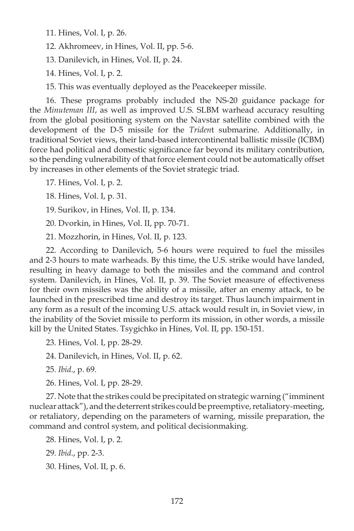11. Hines, Vol. I, p. 26.

12. Akhromeev, in Hines, Vol. II, pp. 5-6.

13. Danilevich, in Hines, Vol. II, p. 24.

14. Hines, Vol. I, p. 2.

15. This was eventually deployed as the Peacekeeper missile.

16. These programs probably included the NS-20 guidance package for the *Minuteman III* , as well as improved U.S. SLBM warhead accuracy resulting from the global positioning system on the Navstar satellite combined with the development of the D-5 missile for the *Triden*t submarine. Additionally, in traditional Soviet views, their land-based intercontinental ballistic missile (ICBM) force had political and domestic significance far beyond its military contribution, so the pending vulnerability of that force element could not be automatically offset by increases in other elements of the Soviet strategic triad.

17. Hines, Vol. I, p. 2.

18. Hines, Vol. I, p. 31.

19. Surikov, in Hines, Vol. II, p. 134.

20. Dvorkin, in Hines, Vol. II, pp. 70-71.

21. Mozzhorin, in Hines, Vol. II, p. 123.

22. According to Danilevich, 5-6 hours were required to fuel the missiles and 2-3 hours to mate warheads. By this time, the U.S. strike would have landed, resulting in heavy damage to both the missiles and the command and control system. Danilevich, in Hines, Vol. II, p. 39. The Soviet measure of effectiveness for their own missiles was the ability of a missile, after an enemy attack, to be launched in the prescribed time and destroy its target. Thus launch impairment in any form as a result of the incoming U.S. attack would result in, in Soviet view, in the inability of the Soviet missile to perform its mission, in other words, a missile kill by the United States. Tsygichko in Hines, Vol. II, pp. 150-151.

23. Hines, Vol. I, pp. 28-29.

24. Danilevich, in Hines, Vol. II, p. 62.

25. *Ibid*., p. 69.

26. Hines, Vol. I, pp. 28-29.

27. Note that the strikes could be precipitated on strategic warning ("imminent nuclear attack"), and the deterrent strikes could be preemptive, retaliatory-meeting, or retaliatory, depending on the parameters of warning, missile preparation, the command and control system, and political decisionmaking.

28. Hines, Vol. I, p. 2. 29. *Ibid*., pp. 2-3. 30. Hines, Vol. II, p. 6.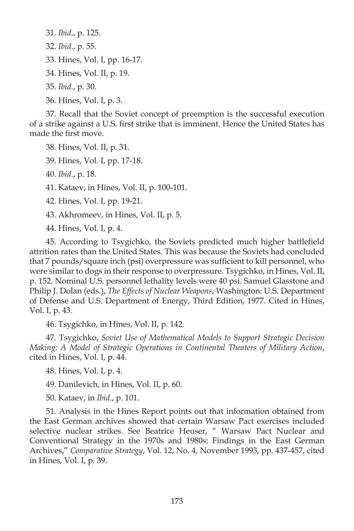31. *Ibid*., p. 125. 32. *Ibid*., p. 55. 33. Hines, Vol. I, pp. 16-17. 34. Hines, Vol. II, p. 19. 35. *Ibid*., p. 30. 36. Hines, Vol. I, p. 3.

37. Recall that the Soviet concept of preemption is the successful execution of a strike against a U.S. first strike that is imminent. Hence the United States has made the first move.

38. Hines, Vol. II, p. 31.

39. Hines, Vol. I, pp. 17-18.

40. *Ibid*., p. 18.

41. Kataev, in Hines, Vol. II, p. 100-101.

42. Hines, Vol. I, pp. 19-21.

43. Akhromeev, in Hines, Vol. II, p. 5.

44. Hines, Vol. I, p. 4.

45. According to Tsygichko, the Soviets predicted much higher battlefield attrition rates than the United States. This was because the Soviets had concluded that 7 pounds/square inch (psi) overpressure was sufficient to kill personnel, who were similar to dogs in their response to overpressure. Tsygichko, in Hines, Vol. II, p. 152. Nominal U.S. personnel lethality levels were 40 psi. Samuel Glasstone and Philip J. Dolan (eds.), *The Effects of Nuclear Weapons*, Washington: U.S. Department of Defense and U.S. Department of Energy, Third Edition, 1977. Cited in Hines, Vol. I, p. 43.

46. Tsygichko, in Hines, Vol. II, p. 142.

47. Tsygichko, *Soviet Use of Mathematical Models to Support Strategic Decision Making: A Model of Strategic Operations in Continental Theaters of Military Action*, cited in Hines, Vol. I, p. 44.

48. Hines, Vol. I, p. 4.

49. Danilevich, in Hines, Vol. II, p. 60.

50. Kataev, in *Ibid*., p. 101.

51. Analysis in the Hines Report points out that information obtained from the East German archives showed that certain Warsaw Pact exercises included selective nuclear strikes. See Beatrice Heuser, " Warsaw Pact Nuclear and Conventional Strategy in the 1970s and 1980s: Findings in the East German Archives," *Comparative Strategy*, Vol. 12, No. 4, November 1993, pp. 437-457, cited in Hines, Vol. I, p. 39.